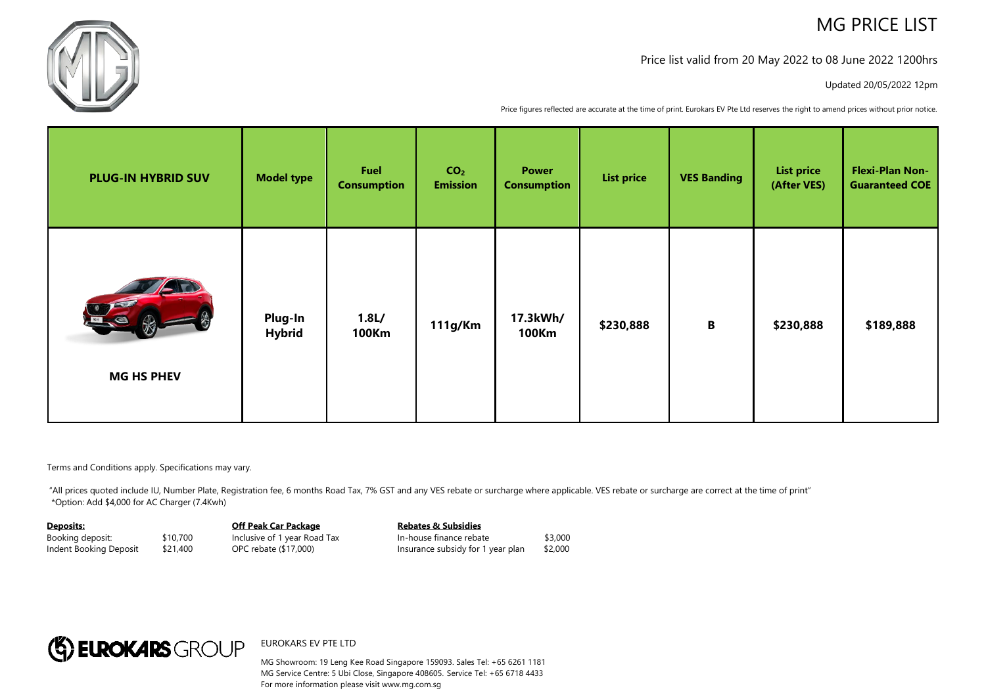# MG PRICE LIST



## Price list valid from 20 May 2022 to 08 June 2022 1200hrs

#### Updated 20/05/2022 12pm

Price figures reflected are accurate at the time of print. Eurokars EV Pte Ltd reserves the right to amend prices without prior notice.

| <b>PLUG-IN HYBRID SUV</b> | <b>Model type</b>        | Fuel<br><b>Consumption</b>       | CO <sub>2</sub><br><b>Emission</b> | <b>Power</b><br><b>Consumption</b> | <b>List price</b> | <b>VES Banding</b> | <b>List price</b><br>(After VES) | <b>Flexi-Plan Non-</b><br><b>Guaranteed COE</b> |
|---------------------------|--------------------------|----------------------------------|------------------------------------|------------------------------------|-------------------|--------------------|----------------------------------|-------------------------------------------------|
| Le<br><b>MG HS PHEV</b>   | Plug-In<br><b>Hybrid</b> | 1.8 <sub>L</sub><br><b>100Km</b> | 111g/Km                            | 17.3kWh/<br><b>100Km</b>           | \$230,888         | $\, {\bf B}$       | \$230,888                        | \$189,888                                       |

Terms and Conditions apply. Specifications may vary.

"All prices quoted include IU, Number Plate, Registration fee, 6 months Road Tax, 7% GST and any VES rebate or surcharge where applicable. VES rebate or surcharge are correct at the time of print" \*Option: Add \$4,000 for AC Charger (7.4Kwh)

#### **Deposits:**

Booking deposit: \$10,700 Indent Booking Deposit \$21,400 **Off Peak Car Package** Inclusive of 1 year Road Tax OPC rebate (\$17,000)

**Rebates & Subsidies** In-house finance rebate \$3,000 Insurance subsidy for 1 year plan \$2,000



### EUROKARS EV PTE LTD

MG Showroom: 19 Leng Kee Road Singapore 159093. Sales Tel: +65 6261 1181 MG Service Centre: 5 Ubi Close, Singapore 408605. Service Tel: +65 6718 4433 For more information please visit www.mg.com.sg